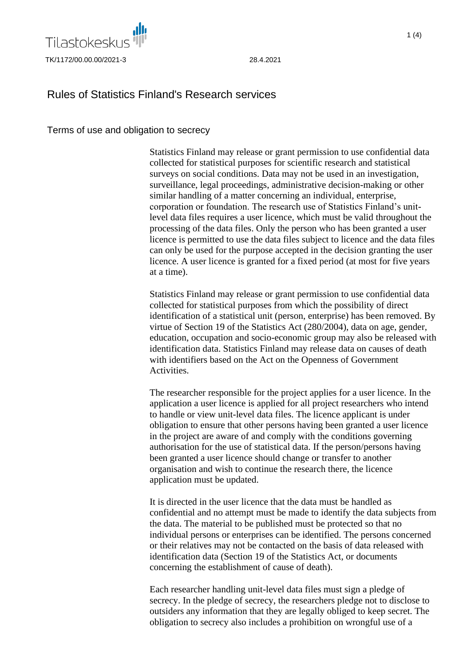

# $1(4)$

## Rules of Statistics Finland's Research services

## Terms of use and obligation to secrecy

Statistics Finland may release or grant permission to use confidential data collected for statistical purposes for scientific research and statistical surveys on social conditions. Data may not be used in an investigation, surveillance, legal proceedings, administrative decision-making or other similar handling of a matter concerning an individual, enterprise, corporation or foundation. The research use of Statistics Finland's unitlevel data files requires a user licence, which must be valid throughout the processing of the data files. Only the person who has been granted a user licence is permitted to use the data files subject to licence and the data files can only be used for the purpose accepted in the decision granting the user licence. A user licence is granted for a fixed period (at most for five years at a time).

Statistics Finland may release or grant permission to use confidential data collected for statistical purposes from which the possibility of direct identification of a statistical unit (person, enterprise) has been removed. By virtue of Section 19 of the Statistics Act (280/2004), data on age, gender, education, occupation and socio-economic group may also be released with identification data. Statistics Finland may release data on causes of death with identifiers based on the Act on the Openness of Government Activities.

The researcher responsible for the project applies for a user licence. In the application a user licence is applied for all project researchers who intend to handle or view unit-level data files. The licence applicant is under obligation to ensure that other persons having been granted a user licence in the project are aware of and comply with the conditions governing authorisation for the use of statistical data. If the person/persons having been granted a user licence should change or transfer to another organisation and wish to continue the research there, the licence application must be updated.

It is directed in the user licence that the data must be handled as confidential and no attempt must be made to identify the data subjects from the data. The material to be published must be protected so that no individual persons or enterprises can be identified. The persons concerned or their relatives may not be contacted on the basis of data released with identification data (Section 19 of the Statistics Act, or documents concerning the establishment of cause of death).

Each researcher handling unit-level data files must sign a pledge of secrecy. In the pledge of secrecy, the researchers pledge not to disclose to outsiders any information that they are legally obliged to keep secret. The obligation to secrecy also includes a prohibition on wrongful use of a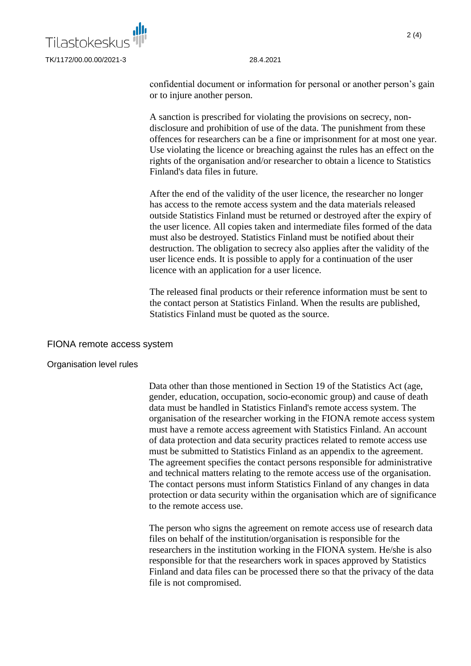

confidential document or information for personal or another person's gain or to injure another person.

A sanction is prescribed for violating the provisions on secrecy, nondisclosure and prohibition of use of the data. The punishment from these offences for researchers can be a fine or imprisonment for at most one year. Use violating the licence or breaching against the rules has an effect on the rights of the organisation and/or researcher to obtain a licence to Statistics Finland's data files in future.

After the end of the validity of the user licence, the researcher no longer has access to the remote access system and the data materials released outside Statistics Finland must be returned or destroyed after the expiry of the user licence. All copies taken and intermediate files formed of the data must also be destroyed. Statistics Finland must be notified about their destruction. The obligation to secrecy also applies after the validity of the user licence ends. It is possible to apply for a continuation of the user licence with an application for a user licence.

The released final products or their reference information must be sent to the contact person at Statistics Finland. When the results are published, Statistics Finland must be quoted as the source.

### FIONA remote access system

### Organisation level rules

Data other than those mentioned in Section 19 of the Statistics Act (age, gender, education, occupation, socio-economic group) and cause of death data must be handled in Statistics Finland's remote access system. The organisation of the researcher working in the FIONA remote access system must have a remote access agreement with Statistics Finland. An account of data protection and data security practices related to remote access use must be submitted to Statistics Finland as an appendix to the agreement. The agreement specifies the contact persons responsible for administrative and technical matters relating to the remote access use of the organisation. The contact persons must inform Statistics Finland of any changes in data protection or data security within the organisation which are of significance to the remote access use.

The person who signs the agreement on remote access use of research data files on behalf of the institution/organisation is responsible for the researchers in the institution working in the FIONA system. He/she is also responsible for that the researchers work in spaces approved by Statistics Finland and data files can be processed there so that the privacy of the data file is not compromised.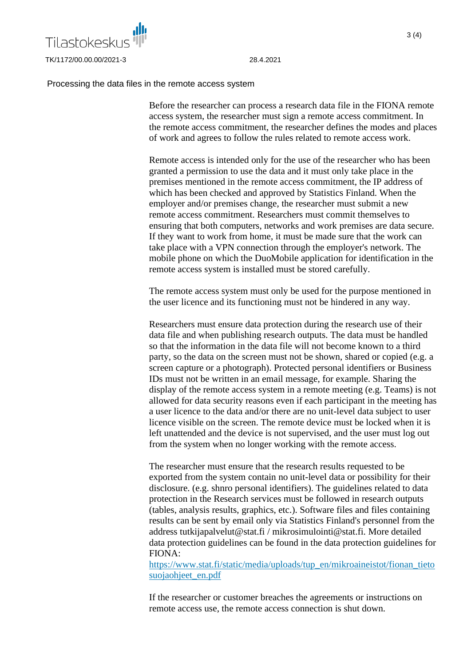

#### Processing the data files in the remote access system

Before the researcher can process a research data file in the FIONA remote access system, the researcher must sign a remote access commitment. In the remote access commitment, the researcher defines the modes and places of work and agrees to follow the rules related to remote access work.

Remote access is intended only for the use of the researcher who has been granted a permission to use the data and it must only take place in the premises mentioned in the remote access commitment, the IP address of which has been checked and approved by Statistics Finland. When the employer and/or premises change, the researcher must submit a new remote access commitment. Researchers must commit themselves to ensuring that both computers, networks and work premises are data secure. If they want to work from home, it must be made sure that the work can take place with a VPN connection through the employer's network. The mobile phone on which the DuoMobile application for identification in the remote access system is installed must be stored carefully.

The remote access system must only be used for the purpose mentioned in the user licence and its functioning must not be hindered in any way.

Researchers must ensure data protection during the research use of their data file and when publishing research outputs. The data must be handled so that the information in the data file will not become known to a third party, so the data on the screen must not be shown, shared or copied (e.g. a screen capture or a photograph). Protected personal identifiers or Business IDs must not be written in an email message, for example. Sharing the display of the remote access system in a remote meeting (e.g. Teams) is not allowed for data security reasons even if each participant in the meeting has a user licence to the data and/or there are no unit-level data subject to user licence visible on the screen. The remote device must be locked when it is left unattended and the device is not supervised, and the user must log out from the system when no longer working with the remote access.

The researcher must ensure that the research results requested to be exported from the system contain no unit-level data or possibility for their disclosure. (e.g. shnro personal identifiers). The guidelines related to data protection in the Research services must be followed in research outputs (tables, analysis results, graphics, etc.). Software files and files containing results can be sent by email only via Statistics Finland's personnel from the address tutkijapalvelut@stat.fi / mikrosimulointi@stat.fi. More detailed data protection guidelines can be found in the data protection guidelines for FIONA:

[https://www.stat.fi/static/media/uploads/tup\\_en/mikroaineistot/fionan\\_tieto](https://www.stat.fi/static/media/uploads/tup_en/mikroaineistot/fionan_tietosuojaohjeet_en.pdf) suojaohjeet en.pdf

If the researcher or customer breaches the agreements or instructions on remote access use, the remote access connection is shut down.